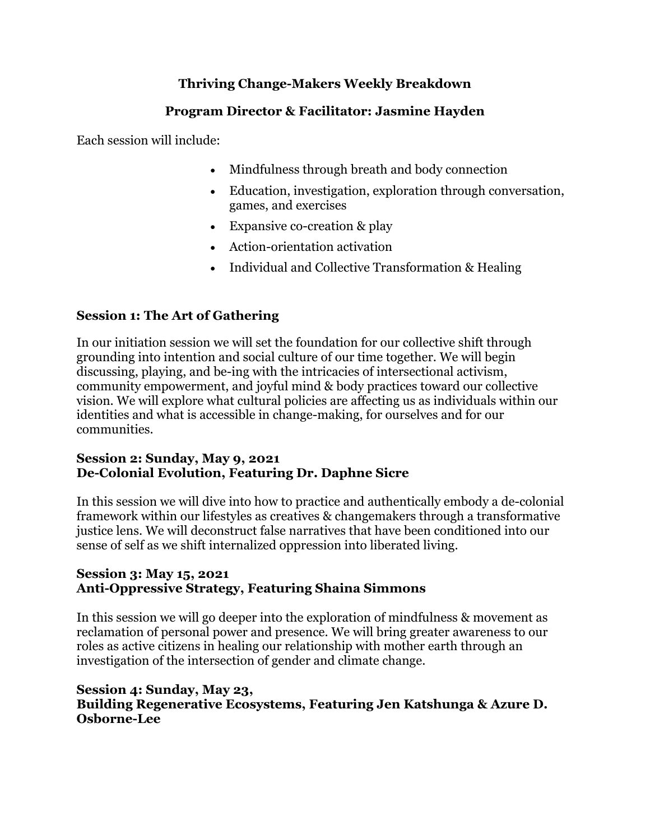# **Thriving Change-Makers Weekly Breakdown**

## **Program Director & Facilitator: Jasmine Hayden**

Each session will include:

- Mindfulness through breath and body connection
- Education, investigation, exploration through conversation, games, and exercises
- Expansive co-creation & play
- Action-orientation activation
- Individual and Collective Transformation & Healing

## **Session 1: The Art of Gathering**

In our initiation session we will set the foundation for our collective shift through grounding into intention and social culture of our time together. We will begin discussing, playing, and be-ing with the intricacies of intersectional activism, community empowerment, and joyful mind & body practices toward our collective vision. We will explore what cultural policies are affecting us as individuals within our identities and what is accessible in change-making, for ourselves and for our communities.

### **Session 2: Sunday, May 9, 2021 De-Colonial Evolution, Featuring Dr. Daphne Sicre**

In this session we will dive into how to practice and authentically embody a de-colonial framework within our lifestyles as creatives & changemakers through a transformative justice lens. We will deconstruct false narratives that have been conditioned into our sense of self as we shift internalized oppression into liberated living.

### **Session 3: May 15, 2021 Anti-Oppressive Strategy, Featuring Shaina Simmons**

In this session we will go deeper into the exploration of mindfulness & movement as reclamation of personal power and presence. We will bring greater awareness to our roles as active citizens in healing our relationship with mother earth through an investigation of the intersection of gender and climate change.

### **Session 4: Sunday, May 23, Building Regenerative Ecosystems, Featuring Jen Katshunga & Azure D. Osborne-Lee**